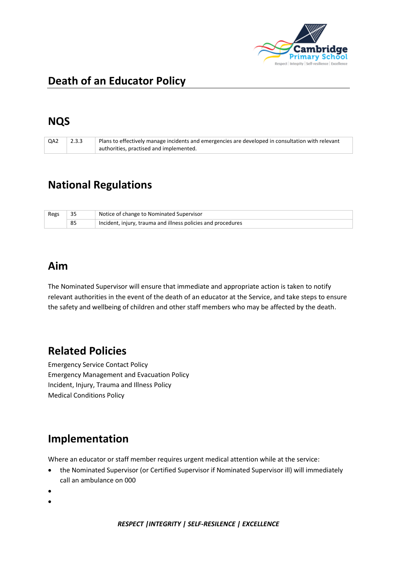

# **Death of an Educator Policy**

#### **NQS**

| QA2 | 2.3.3 | Plans to effectively manage incidents and emergencies are developed in consultation with relevant<br>authorities, practised and implemented. |
|-----|-------|----------------------------------------------------------------------------------------------------------------------------------------------|
|     |       |                                                                                                                                              |

## **National Regulations**

| Regs |    | Notice of change to Nominated Supervisor                     |
|------|----|--------------------------------------------------------------|
|      | 85 | Incident, injury, trauma and illness policies and procedures |

#### **Aim**

The Nominated Supervisor will ensure that immediate and appropriate action is taken to notify relevant authorities in the event of the death of an educator at the Service, and take steps to ensure the safety and wellbeing of children and other staff members who may be affected by the death.

# **Related Policies**

Emergency Service Contact Policy Emergency Management and Evacuation Policy Incident, Injury, Trauma and Illness Policy Medical Conditions Policy

# **Implementation**

Where an educator or staff member requires urgent medical attention while at the service:

- the Nominated Supervisor (or Certified Supervisor if Nominated Supervisor ill) will immediately call an ambulance on 000
- •
- •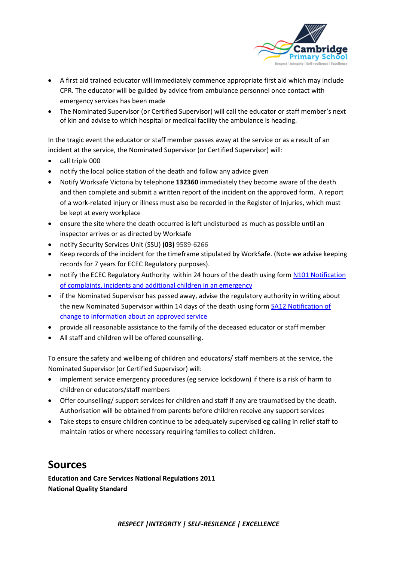

- A first aid trained educator will immediately commence appropriate first aid which may include CPR. The educator will be guided by advice from ambulance personnel once contact with emergency services has been made
- The Nominated Supervisor (or Certified Supervisor) will call the educator or staff member's next of kin and advise to which hospital or medical facility the ambulance is heading.

In the tragic event the educator or staff member passes away at the service or as a result of an incident at the service, the Nominated Supervisor (or Certified Supervisor) will:

- call triple 000
- notify the local police station of the death and follow any advice given
- Notify Worksafe Victoria by telephone **132360** immediately they become aware of the death and then complete and submit a written report of the incident on the approved form. A report of a work-related injury or illness must also be recorded in the Register of Injuries, which must be kept at every workplace
- ensure the site where the death occurred is left undisturbed as much as possible until an inspector arrives or as directed by Worksafe
- notify Security Services Unit (SSU) **(03)** 9589-6266
- Keep records of the incident for the timeframe stipulated by WorkSafe. (Note we advise keeping records for 7 years for ECEC Regulatory purposes).
- notify the ECEC Regulatory Authority within 24 hours of the death using form N101 Notification [of complaints, incidents and additional children in an emergency](http://files.acecqa.gov.au/files/2014%20Application%20Foms/Notifications/NL01_NotificationOfComplaintsAndIncidents_v11.pdf)
- if the Nominated Supervisor has passed away, advise the regulatory authority in writing about the new Nominated Supervisor within 14 days of the death using for[m SA12 Notification of](http://files.acecqa.gov.au/files/2014%20Application%20Foms/Service%20approval/SA12_NoticeofChangetoInformationAboutanApprovedService_v11.pdf)  [change to information about an approved service](http://files.acecqa.gov.au/files/2014%20Application%20Foms/Service%20approval/SA12_NoticeofChangetoInformationAboutanApprovedService_v11.pdf)
- provide all reasonable assistance to the family of the deceased educator or staff member
- All staff and children will be offered counselling.

To ensure the safety and wellbeing of children and educators/ staff members at the service, the Nominated Supervisor (or Certified Supervisor) will:

- implement service emergency procedures (eg service lockdown) if there is a risk of harm to children or educators/staff members
- Offer counselling/ support services for children and staff if any are traumatised by the death. Authorisation will be obtained from parents before children receive any support services
- Take steps to ensure children continue to be adequately supervised eg calling in relief staff to maintain ratios or where necessary requiring families to collect children.

#### **Sources**

**Education and Care Services National Regulations 2011 National Quality Standard**